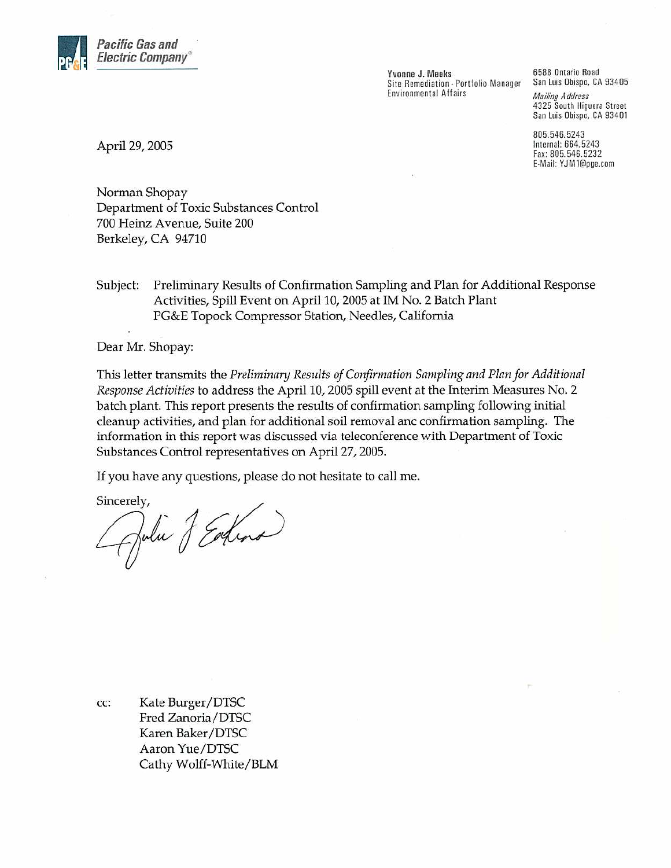

Yvonne J. Meeks Site Remediation - Portfolio Manager **Environmental Affairs** 

6588 Ontario Road San Luis Obispo, CA 93405 **Mailing Address** 4325 South Higuera Street San Luis Obispo, CA 93401

805.546.5243 Internal: 664.5243 Fax: 805.546.5232 E-Mail: YJM1@pge.com

April 29, 2005

Norman Shopay Department of Toxic Substances Control 700 Heinz Avenue, Suite 200 Berkeley, CA 94710

Subject: Preliminary Results of Confirmation Sampling and Plan for Additional Response Activities, Spill Event on April 10, 2005 at IM No. 2 Batch Plant PG&E Topock Compressor Station, Needles, California

Dear Mr. Shopay:

This letter transmits the Preliminary Results of Confirmation Sampling and Plan for Additional Response Activities to address the April 10, 2005 spill event at the Interim Measures No. 2 batch plant. This report presents the results of confirmation sampling following initial cleanup activities, and plan for additional soil removal anc confirmation sampling. The information in this report was discussed via teleconference with Department of Toxic Substances Control representatives on April 27, 2005.

If you have any questions, please do not hesitate to call me.

Sincerely,

Apolie J Edna

Kate Burger/DTSC CC: Fred Zanoria/DTSC Karen Baker/DTSC Aaron Yue/DTSC Cathy Wolff-White/BLM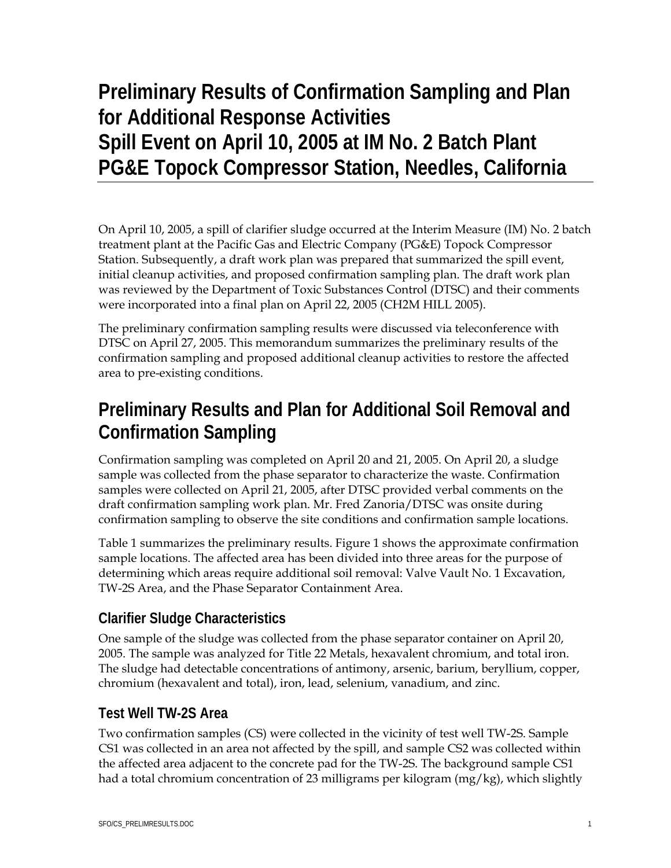# **Preliminary Results of Confirmation Sampling and Plan for Additional Response Activities Spill Event on April 10, 2005 at IM No. 2 Batch Plant PG&E Topock Compressor Station, Needles, California**

On April 10, 2005, a spill of clarifier sludge occurred at the Interim Measure (IM) No. 2 batch treatment plant at the Pacific Gas and Electric Company (PG&E) Topock Compressor Station. Subsequently, a draft work plan was prepared that summarized the spill event, initial cleanup activities, and proposed confirmation sampling plan. The draft work plan was reviewed by the Department of Toxic Substances Control (DTSC) and their comments were incorporated into a final plan on April 22, 2005 (CH2M HILL 2005).

The preliminary confirmation sampling results were discussed via teleconference with DTSC on April 27, 2005. This memorandum summarizes the preliminary results of the confirmation sampling and proposed additional cleanup activities to restore the affected area to pre-existing conditions.

## **Preliminary Results and Plan for Additional Soil Removal and Confirmation Sampling**

Confirmation sampling was completed on April 20 and 21, 2005. On April 20, a sludge sample was collected from the phase separator to characterize the waste. Confirmation samples were collected on April 21, 2005, after DTSC provided verbal comments on the draft confirmation sampling work plan. Mr. Fred Zanoria/DTSC was onsite during confirmation sampling to observe the site conditions and confirmation sample locations.

Table 1 summarizes the preliminary results. Figure 1 shows the approximate confirmation sample locations. The affected area has been divided into three areas for the purpose of determining which areas require additional soil removal: Valve Vault No. 1 Excavation, TW-2S Area, and the Phase Separator Containment Area.

#### **Clarifier Sludge Characteristics**

One sample of the sludge was collected from the phase separator container on April 20, 2005. The sample was analyzed for Title 22 Metals, hexavalent chromium, and total iron. The sludge had detectable concentrations of antimony, arsenic, barium, beryllium, copper, chromium (hexavalent and total), iron, lead, selenium, vanadium, and zinc.

#### **Test Well TW-2S Area**

Two confirmation samples (CS) were collected in the vicinity of test well TW-2S. Sample CS1 was collected in an area not affected by the spill, and sample CS2 was collected within the affected area adjacent to the concrete pad for the TW-2S. The background sample CS1 had a total chromium concentration of 23 milligrams per kilogram (mg/kg), which slightly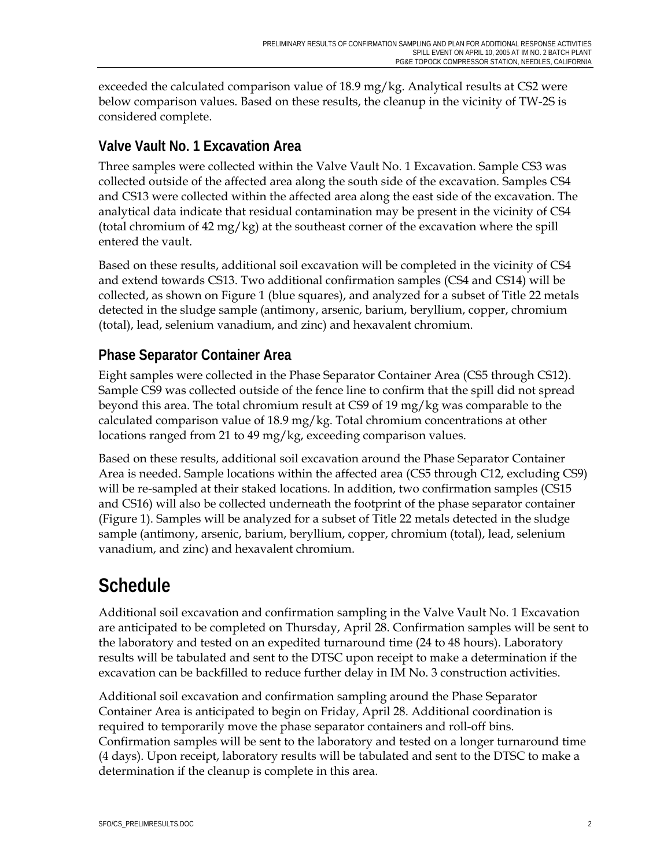exceeded the calculated comparison value of  $18.9 \text{ mg/kg}$ . Analytical results at CS2 were below comparison values. Based on these results, the cleanup in the vicinity of TW-2S is considered complete.

#### **Valve Vault No. 1 Excavation Area**

Three samples were collected within the Valve Vault No. 1 Excavation. Sample CS3 was collected outside of the affected area along the south side of the excavation. Samples CS4 and CS13 were collected within the affected area along the east side of the excavation. The analytical data indicate that residual contamination may be present in the vicinity of CS4 (total chromium of 42 mg/kg) at the southeast corner of the excavation where the spill entered the vault.

Based on these results, additional soil excavation will be completed in the vicinity of CS4 and extend towards CS13. Two additional confirmation samples (CS4 and CS14) will be collected, as shown on Figure 1 (blue squares), and analyzed for a subset of Title 22 metals detected in the sludge sample (antimony, arsenic, barium, beryllium, copper, chromium (total), lead, selenium vanadium, and zinc) and hexavalent chromium.

#### **Phase Separator Container Area**

Eight samples were collected in the Phase Separator Container Area (CS5 through CS12). Sample CS9 was collected outside of the fence line to confirm that the spill did not spread beyond this area. The total chromium result at CS9 of 19 mg/kg was comparable to the calculated comparison value of 18.9 mg/kg. Total chromium concentrations at other locations ranged from 21 to 49 mg/kg, exceeding comparison values.

Based on these results, additional soil excavation around the Phase Separator Container Area is needed. Sample locations within the affected area (CS5 through C12, excluding CS9) will be re-sampled at their staked locations. In addition, two confirmation samples (CS15 and CS16) will also be collected underneath the footprint of the phase separator container (Figure 1). Samples will be analyzed for a subset of Title 22 metals detected in the sludge sample (antimony, arsenic, barium, beryllium, copper, chromium (total), lead, selenium vanadium, and zinc) and hexavalent chromium.

### **Schedule**

Additional soil excavation and confirmation sampling in the Valve Vault No. 1 Excavation are anticipated to be completed on Thursday, April 28. Confirmation samples will be sent to the laboratory and tested on an expedited turnaround time (24 to 48 hours). Laboratory results will be tabulated and sent to the DTSC upon receipt to make a determination if the excavation can be backfilled to reduce further delay in IM No. 3 construction activities.

Additional soil excavation and confirmation sampling around the Phase Separator Container Area is anticipated to begin on Friday, April 28. Additional coordination is required to temporarily move the phase separator containers and roll-off bins. Confirmation samples will be sent to the laboratory and tested on a longer turnaround time (4 days). Upon receipt, laboratory results will be tabulated and sent to the DTSC to make a determination if the cleanup is complete in this area.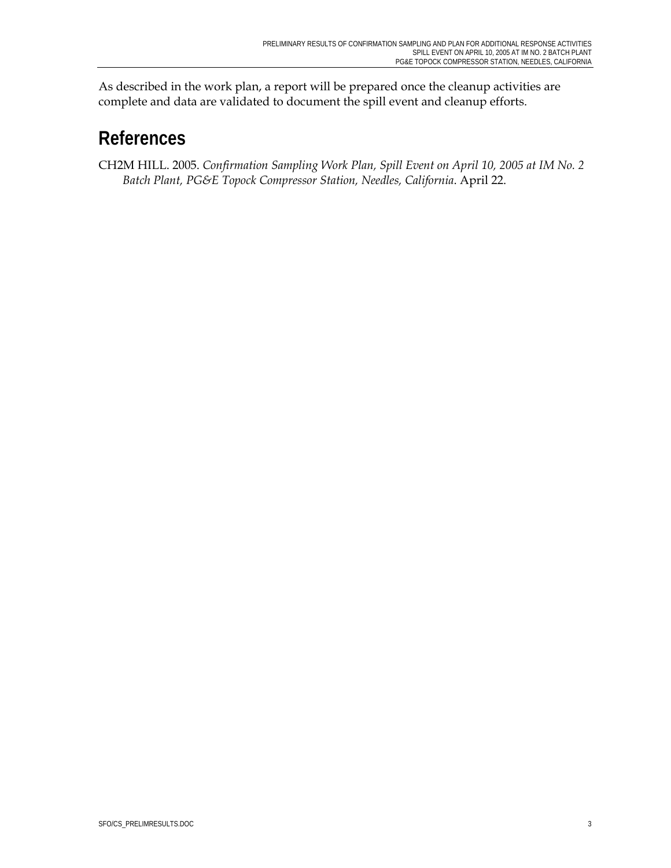As described in the work plan, a report will be prepared once the cleanup activities are complete and data are validated to document the spill event and cleanup efforts.

### **References**

CH2M HILL. 2005. *Confirmation Sampling Work Plan, Spill Event on April 10, 2005 at IM No. 2 Batch Plant, PG&E Topock Compressor Station, Needles, California*. April 22.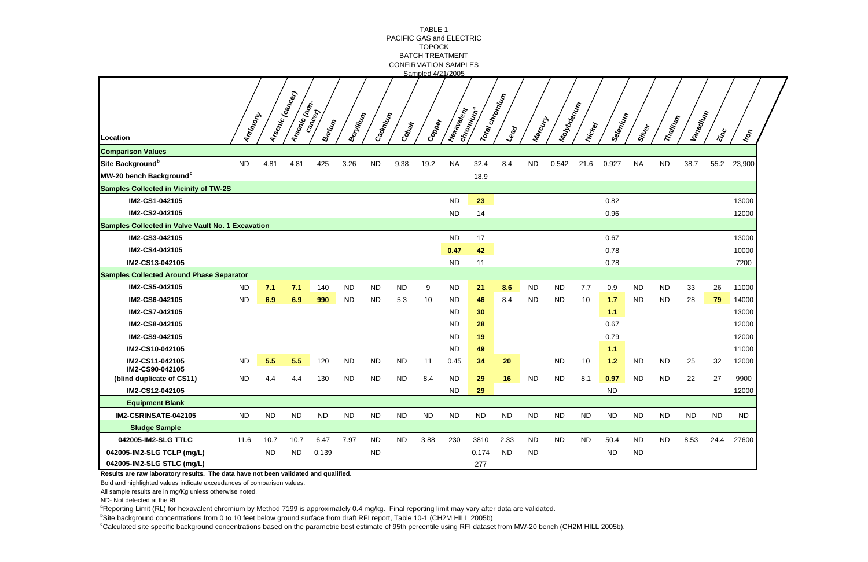|                                                          |           |           |                                   |           |           |           |           | TABLE 1<br>PACIFIC GAS and ELECTRIC              |            |                             |                                                        |           |                    |           |           |           |                       |           |                            |                            |
|----------------------------------------------------------|-----------|-----------|-----------------------------------|-----------|-----------|-----------|-----------|--------------------------------------------------|------------|-----------------------------|--------------------------------------------------------|-----------|--------------------|-----------|-----------|-----------|-----------------------|-----------|----------------------------|----------------------------|
|                                                          |           |           |                                   |           |           |           |           | <b>TOPOCK</b>                                    |            |                             |                                                        |           |                    |           |           |           |                       |           |                            |                            |
|                                                          |           |           |                                   |           |           |           |           | <b>BATCH TREATMENT</b>                           |            |                             |                                                        |           |                    |           |           |           |                       |           |                            |                            |
|                                                          |           |           |                                   |           |           |           |           | <b>CONFIRMATION SAMPLES</b><br>Sampled 4/21/2005 |            |                             |                                                        |           |                    |           |           |           |                       |           |                            |                            |
| Location                                                 | Antimony  |           | Arsenic (cancer)<br>Arsemic (nom. | Barium    | Beryllin  | Cadmium   | Cobalt    | Copper                                           | Hexalexell | Total chromium<br>chromium® | $\mathcal{L}_{\mathbf{e}_{\mathbf{\mathfrak{q}}_{Q}}}$ | Mercury   | <b>Inchocentin</b> | Nickey    | Selenium  | Silker    | Thaili <sub>thy</sub> | Vanaqiya  | $\dot{\hat{\mathbf{v}}}_c$ | $k_{\mathcal{O}_{\gamma}}$ |
| <b>Comparison Values</b>                                 |           |           |                                   |           |           |           |           |                                                  |            |                             |                                                        |           |                    |           |           |           |                       |           |                            |                            |
| Site Background <sup>b</sup>                             | <b>ND</b> | 4.81      | 4.81                              | 425       | 3.26      | <b>ND</b> | 9.38      | 19.2                                             | <b>NA</b>  | 32.4                        | 8.4                                                    | <b>ND</b> | 0.542              | 21.6      | 0.927     | <b>NA</b> | <b>ND</b>             | 38.7      | 55.2                       | 23,900                     |
| MW-20 bench Background <sup>c</sup>                      |           |           |                                   |           |           |           |           |                                                  |            | 18.9                        |                                                        |           |                    |           |           |           |                       |           |                            |                            |
| <b>Samples Collected in Vicinity of TW-2S</b>            |           |           |                                   |           |           |           |           |                                                  |            |                             |                                                        |           |                    |           |           |           |                       |           |                            |                            |
| IM2-CS1-042105                                           |           |           |                                   |           |           |           |           |                                                  | <b>ND</b>  | 23                          |                                                        |           |                    |           | 0.82      |           |                       |           |                            | 13000                      |
| IM2-CS2-042105                                           |           |           |                                   |           |           |           |           |                                                  | <b>ND</b>  | 14                          |                                                        |           |                    |           | 0.96      |           |                       |           |                            | 12000                      |
| <b>Samples Collected in Valve Vault No. 1 Excavation</b> |           |           |                                   |           |           |           |           |                                                  |            |                             |                                                        |           |                    |           |           |           |                       |           |                            |                            |
| IM2-CS3-042105                                           |           |           |                                   |           |           |           |           |                                                  | <b>ND</b>  | 17                          |                                                        |           |                    |           | 0.67      |           |                       |           |                            | 13000                      |
| IM2-CS4-042105                                           |           |           |                                   |           |           |           |           |                                                  | 0.47       | 42                          |                                                        |           |                    |           | 0.78      |           |                       |           |                            | 10000                      |
| IM2-CS13-042105                                          |           |           |                                   |           |           |           |           |                                                  | <b>ND</b>  | 11                          |                                                        |           |                    |           | 0.78      |           |                       |           |                            | 7200                       |
| <b>Samples Collected Around Phase Separator</b>          |           |           |                                   |           |           |           |           |                                                  |            |                             |                                                        |           |                    |           |           |           |                       |           |                            |                            |
| IM2-CS5-042105                                           | <b>ND</b> | 7.1       | 7.1                               | 140       | <b>ND</b> | <b>ND</b> | ND        | 9                                                | <b>ND</b>  | 21                          | 8.6                                                    | <b>ND</b> | <b>ND</b>          | 7.7       | 0.9       | <b>ND</b> | <b>ND</b>             | 33        | 26                         | 11000                      |
| IM2-CS6-042105                                           | <b>ND</b> | 6.9       | 6.9                               | 990       | <b>ND</b> | <b>ND</b> | 5.3       | 10                                               | <b>ND</b>  | 46                          | 8.4                                                    | <b>ND</b> | <b>ND</b>          | 10        | $1.7$     | <b>ND</b> | <b>ND</b>             | 28        | 79                         | 14000                      |
| IM2-CS7-042105                                           |           |           |                                   |           |           |           |           |                                                  | <b>ND</b>  | 30                          |                                                        |           |                    |           | 1.1       |           |                       |           |                            | 13000                      |
| IM2-CS8-042105                                           |           |           |                                   |           |           |           |           |                                                  | <b>ND</b>  | 28                          |                                                        |           |                    |           | 0.67      |           |                       |           |                            | 12000                      |
| IM2-CS9-042105                                           |           |           |                                   |           |           |           |           |                                                  | <b>ND</b>  | 19                          |                                                        |           |                    |           | 0.79      |           |                       |           |                            | 12000                      |
| IM2-CS10-042105                                          |           |           |                                   |           |           |           |           |                                                  | <b>ND</b>  | 49                          |                                                        |           |                    |           | $1.1$     |           |                       |           |                            | 11000                      |
| IM2-CS11-042105                                          | <b>ND</b> | 5.5       | 5.5                               | 120       | <b>ND</b> | <b>ND</b> | <b>ND</b> | 11                                               | 0.45       | 34                          | 20                                                     |           | <b>ND</b>          | 10        | $1.2$     | <b>ND</b> | <b>ND</b>             | 25        | 32                         | 12000                      |
| IM2-CS90-042105<br>(blind duplicate of CS11)             | <b>ND</b> | 4.4       | 4.4                               | 130       | <b>ND</b> | <b>ND</b> | <b>ND</b> | 8.4                                              | <b>ND</b>  | 29                          | 16                                                     | <b>ND</b> | <b>ND</b>          | 8.1       | 0.97      | <b>ND</b> | <b>ND</b>             | 22        | 27                         | 9900                       |
| IM2-CS12-042105                                          |           |           |                                   |           |           |           |           |                                                  | <b>ND</b>  | 29                          |                                                        |           |                    |           | <b>ND</b> |           |                       |           |                            | 12000                      |
| <b>Equipment Blank</b>                                   |           |           |                                   |           |           |           |           |                                                  |            |                             |                                                        |           |                    |           |           |           |                       |           |                            |                            |
| IM2-CSRINSATE-042105                                     | <b>ND</b> | <b>ND</b> | <b>ND</b>                         | <b>ND</b> | <b>ND</b> | <b>ND</b> | <b>ND</b> | <b>ND</b>                                        | <b>ND</b>  | <b>ND</b>                   | <b>ND</b>                                              | <b>ND</b> | <b>ND</b>          | <b>ND</b> | <b>ND</b> | <b>ND</b> | <b>ND</b>             | <b>ND</b> | <b>ND</b>                  | <b>ND</b>                  |
| <b>Sludge Sample</b>                                     |           |           |                                   |           |           |           |           |                                                  |            |                             |                                                        |           |                    |           |           |           |                       |           |                            |                            |
| 042005-IM2-SLG TTLC                                      | 11.6      | 10.7      | 10.7                              | 6.47      | 7.97      | <b>ND</b> | <b>ND</b> | 3.88                                             | 230        | 3810                        | 2.33                                                   | <b>ND</b> | <b>ND</b>          | <b>ND</b> | 50.4      | <b>ND</b> | <b>ND</b>             | 8.53      | 24.4                       | 27600                      |
| 042005-IM2-SLG TCLP (mg/L)                               |           | ND        | <b>ND</b>                         | 0.139     |           | <b>ND</b> |           |                                                  |            | 0.174                       | <b>ND</b>                                              | <b>ND</b> |                    |           | <b>ND</b> | <b>ND</b> |                       |           |                            |                            |
| 042005-IM2-SLG STLC (mg/L)                               |           |           |                                   |           |           |           |           |                                                  |            | 277                         |                                                        |           |                    |           |           |           |                       |           |                            |                            |

**Results are raw laboratory results. The data have not been validated and qualified.**

Bold and highlighted values indicate exceedances of comparison values.

All sample results are in mg/Kg unless otherwise noted.

ND- Not detected at the RL

<sup>a</sup>Reporting Limit (RL) for hexavalent chromium by Method 7199 is approximately 0.4 mg/kg. Final reporting limit may vary after data are validated.

<sup>b</sup>Site background concentrations from 0 to 10 feet below ground surface from draft RFI report, Table 10-1 (CH2M HILL 2005b)

<sup>c</sup>Calculated site specific background concentrations based on the parametric best estimate of 95th percentile using RFI dataset from MW-20 bench (CH2M HILL 2005b).